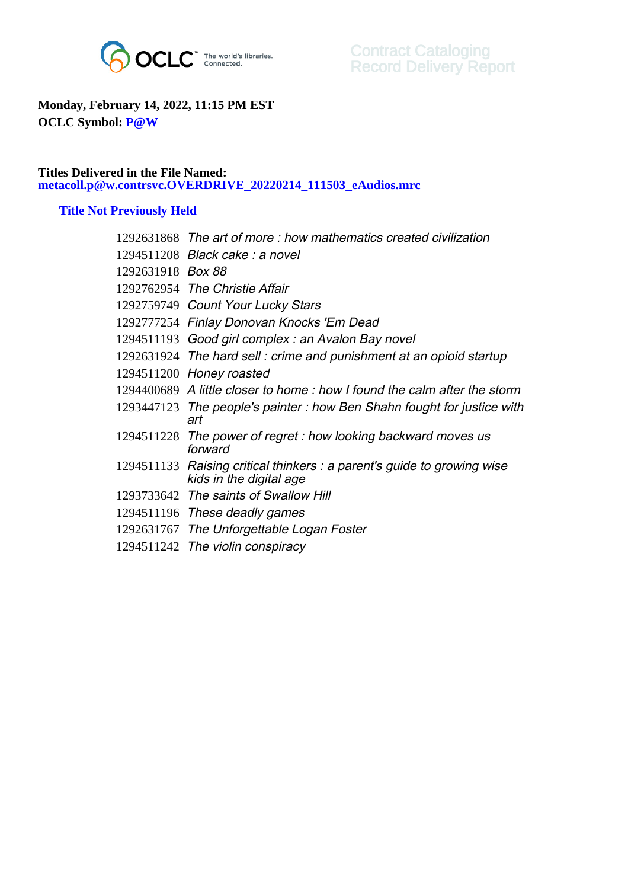

## **Monday, February 14, 2022, 11:15 PM EST OCLC Symbol: P@W**

## **Titles Delivered in the File Named: metacoll.p@w.contrsvc.OVERDRIVE\_20220214\_111503\_eAudios.mrc**

## **Title Not Previously Held**

|                   | 1292631868 The art of more : how mathematics created civilization                                  |
|-------------------|----------------------------------------------------------------------------------------------------|
|                   | 1294511208 Black cake: a novel                                                                     |
| 1292631918 Box 88 |                                                                                                    |
|                   | 1292762954 The Christie Affair                                                                     |
|                   | 1292759749 Count Your Lucky Stars                                                                  |
|                   | 1292777254 Finlay Donovan Knocks 'Em Dead                                                          |
|                   | 1294511193 Good girl complex: an Avalon Bay novel                                                  |
|                   | 1292631924 The hard sell: crime and punishment at an opioid startup                                |
|                   | 1294511200 Honey roasted                                                                           |
|                   | 1294400689 A little closer to home: how I found the calm after the storm                           |
|                   | 1293447123 The people's painter: how Ben Shahn fought for justice with<br>art                      |
|                   | 1294511228 The power of regret : how looking backward moves us<br>forward                          |
|                   | 1294511133 Raising critical thinkers : a parent's guide to growing wise<br>kids in the digital age |
|                   | 1293733642 The saints of Swallow Hill                                                              |
|                   | 1294511196 These deadly games                                                                      |
|                   | 1292631767 The Unforgettable Logan Foster                                                          |
|                   |                                                                                                    |

1294511242 The violin conspiracy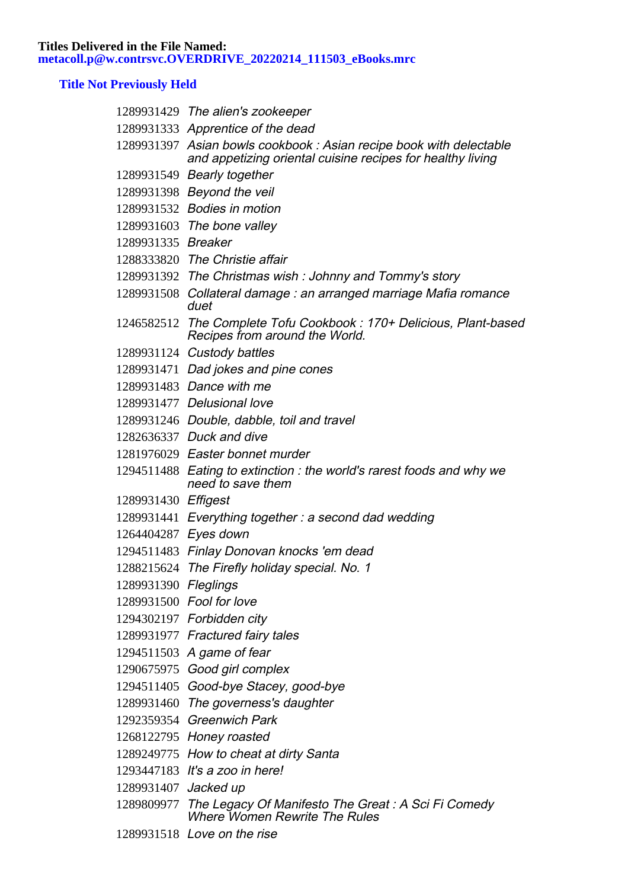## **Title Not Previously Held**

|                      | 1289931429 The alien's zookeeper                                                                                                 |
|----------------------|----------------------------------------------------------------------------------------------------------------------------------|
|                      | 1289931333 Apprentice of the dead                                                                                                |
|                      | 1289931397 Asian bowls cookbook: Asian recipe book with delectable<br>and appetizing oriental cuisine recipes for healthy living |
|                      | 1289931549 Bearly together                                                                                                       |
|                      | 1289931398 Beyond the veil                                                                                                       |
|                      | 1289931532 Bodies in motion                                                                                                      |
|                      | 1289931603 The bone valley                                                                                                       |
| 1289931335 Breaker   |                                                                                                                                  |
|                      | 1288333820 The Christie affair                                                                                                   |
|                      | 1289931392 The Christmas wish: Johnny and Tommy's story                                                                          |
|                      | 1289931508 Collateral damage : an arranged marriage Mafia romance<br>duet                                                        |
|                      | 1246582512 The Complete Tofu Cookbook: 170+ Delicious, Plant-based<br>Recipes from around the World.                             |
|                      | 1289931124 Custody battles                                                                                                       |
|                      | 1289931471 Dad jokes and pine cones                                                                                              |
|                      | 1289931483 Dance with me                                                                                                         |
|                      | 1289931477 Delusional love                                                                                                       |
|                      | 1289931246 Double, dabble, toil and travel                                                                                       |
|                      | 1282636337 Duck and dive                                                                                                         |
|                      | 1281976029 Easter bonnet murder                                                                                                  |
|                      | 1294511488 Eating to extinction: the world's rarest foods and why we<br>need to save them                                        |
| 1289931430 Effigest  |                                                                                                                                  |
|                      | 1289931441 Everything together: a second dad wedding                                                                             |
| 1264404287 Eyes down |                                                                                                                                  |
|                      | 1294511483 Finlay Donovan knocks 'em dead                                                                                        |
|                      | 1288215624 The Firefly holiday special. No. 1                                                                                    |
| 1289931390 Fleglings |                                                                                                                                  |
|                      | 1289931500 Fool for love                                                                                                         |
|                      | 1294302197 Forbidden city                                                                                                        |
|                      | 1289931977 Fractured fairy tales                                                                                                 |
|                      | 1294511503 A game of fear                                                                                                        |
|                      | 1290675975 Good girl complex                                                                                                     |
|                      | 1294511405 Good-bye Stacey, good-bye                                                                                             |
|                      | 1289931460 The governess's daughter                                                                                              |
|                      | 1292359354 Greenwich Park                                                                                                        |
|                      | 1268122795 Honey roasted                                                                                                         |
|                      | 1289249775 How to cheat at dirty Santa                                                                                           |
|                      | 1293447183 It's a zoo in here!                                                                                                   |
| 1289931407 Jacked up |                                                                                                                                  |
|                      | 1289809977 The Legacy Of Manifesto The Great: A Sci Fi Comedy<br><b>Where Women Rewrite The Rules</b>                            |
|                      | 1289931518 Love on the rise                                                                                                      |